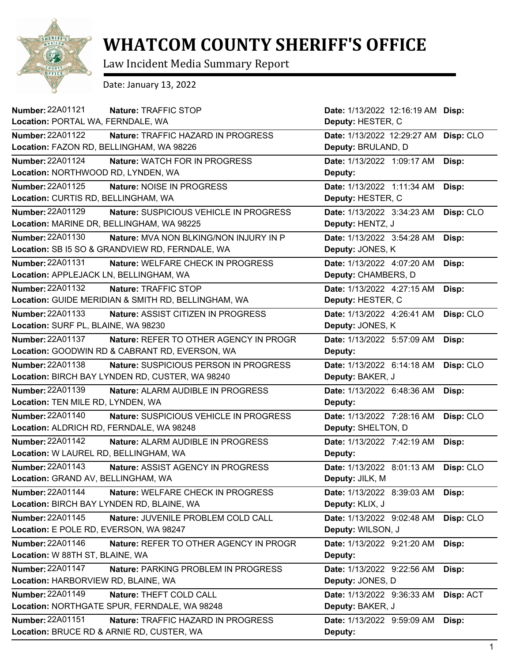

## **WHATCOM COUNTY SHERIFF'S OFFICE**

Law Incident Media Summary Report

Date: January 13, 2022

| Number: 22A01121<br>Nature: TRAFFIC STOP                          | Date: 1/13/2022 12:16:19 AM Disp: |           |
|-------------------------------------------------------------------|-----------------------------------|-----------|
| Location: PORTAL WA, FERNDALE, WA                                 | Deputy: HESTER, C                 |           |
| <b>Number: 22A01122</b><br>Nature: TRAFFIC HAZARD IN PROGRESS     | Date: 1/13/2022 12:29:27 AM       | Disp: CLO |
| Location: FAZON RD, BELLINGHAM, WA 98226                          | Deputy: BRULAND, D                |           |
| <b>Number: 22A01124</b><br>Nature: WATCH FOR IN PROGRESS          | Date: 1/13/2022 1:09:17 AM        | Disp:     |
| Location: NORTHWOOD RD, LYNDEN, WA                                | Deputy:                           |           |
| <b>Number: 22A01125</b><br>Nature: NOISE IN PROGRESS              | Date: 1/13/2022 1:11:34 AM        | Disp:     |
| Location: CURTIS RD, BELLINGHAM, WA                               | Deputy: HESTER, C                 |           |
| Number: 22A01129<br>Nature: SUSPICIOUS VEHICLE IN PROGRESS        | Date: 1/13/2022 3:34:23 AM        | Disp: CLO |
| Location: MARINE DR, BELLINGHAM, WA 98225                         | Deputy: HENTZ, J                  |           |
| Number: 22A01130<br>Nature: MVA NON BLKING/NON INJURY IN P        | Date: 1/13/2022 3:54:28 AM        | Disp:     |
| Location: SB I5 SO & GRANDVIEW RD, FERNDALE, WA                   | Deputy: JONES, K                  |           |
| Number: 22A01131<br>Nature: WELFARE CHECK IN PROGRESS             | Date: 1/13/2022 4:07:20 AM        | Disp:     |
| Location: APPLEJACK LN, BELLINGHAM, WA                            | Deputy: CHAMBERS, D               |           |
| Number: 22A01132<br>Nature: TRAFFIC STOP                          | Date: 1/13/2022 4:27:15 AM        | Disp:     |
| Location: GUIDE MERIDIAN & SMITH RD, BELLINGHAM, WA               | Deputy: HESTER, C                 |           |
| Number: 22A01133<br><b>Nature: ASSIST CITIZEN IN PROGRESS</b>     | Date: 1/13/2022 4:26:41 AM        | Disp: CLO |
| Location: SURF PL, BLAINE, WA 98230                               | Deputy: JONES, K                  |           |
| Number: 22A01137<br>Nature: REFER TO OTHER AGENCY IN PROGR        | Date: 1/13/2022 5:57:09 AM        | Disp:     |
| Location: GOODWIN RD & CABRANT RD, EVERSON, WA                    | Deputy:                           |           |
| <b>Number: 22A01138</b><br>Nature: SUSPICIOUS PERSON IN PROGRESS  | Date: 1/13/2022 6:14:18 AM        | Disp: CLO |
| Location: BIRCH BAY LYNDEN RD, CUSTER, WA 98240                   | Deputy: BAKER, J                  |           |
| <b>Number: 22A01139</b><br>Nature: ALARM AUDIBLE IN PROGRESS      | Date: 1/13/2022 6:48:36 AM        | Disp:     |
| Location: TEN MILE RD, LYNDEN, WA                                 | Deputy:                           |           |
| <b>Number: 22A01140</b><br>Nature: SUSPICIOUS VEHICLE IN PROGRESS | Date: 1/13/2022 7:28:16 AM        | Disp: CLO |
| Location: ALDRICH RD, FERNDALE, WA 98248                          | Deputy: SHELTON, D                |           |
| <b>Number: 22A01142</b><br>Nature: ALARM AUDIBLE IN PROGRESS      | Date: 1/13/2022 7:42:19 AM        | Disp:     |
| Location: W LAUREL RD, BELLINGHAM, WA                             | Deputy:                           |           |
| <b>Number: 22A01143</b><br>Nature: ASSIST AGENCY IN PROGRESS      | Date: 1/13/2022 8:01:13 AM        | Disp: CLO |
| Location: GRAND AV, BELLINGHAM, WA                                | Deputy: JILK, M                   |           |
| <b>Number: 22A01144</b><br>Nature: WELFARE CHECK IN PROGRESS      | Date: 1/13/2022 8:39:03 AM        | Disp:     |
| Location: BIRCH BAY LYNDEN RD, BLAINE, WA                         | Deputy: KLIX, J                   |           |
| Number: 22A01145<br>Nature: JUVENILE PROBLEM COLD CALL            | Date: 1/13/2022 9:02:48 AM        | Disp: CLO |
| Location: E POLE RD, EVERSON, WA 98247                            | Deputy: WILSON, J                 |           |
| Number: 22A01146<br>Nature: REFER TO OTHER AGENCY IN PROGR        | Date: 1/13/2022 9:21:20 AM        | Disp:     |
| Location: W 88TH ST, BLAINE, WA                                   | Deputy:                           |           |
| <b>Number: 22A01147</b><br>Nature: PARKING PROBLEM IN PROGRESS    | Date: 1/13/2022 9:22:56 AM        | Disp:     |
| Location: HARBORVIEW RD, BLAINE, WA                               | Deputy: JONES, D                  |           |
| Number: 22A01149<br>Nature: THEFT COLD CALL                       | Date: 1/13/2022 9:36:33 AM        | Disp: ACT |
| Location: NORTHGATE SPUR, FERNDALE, WA 98248                      | Deputy: BAKER, J                  |           |
| <b>Number: 22A01151</b><br>Nature: TRAFFIC HAZARD IN PROGRESS     | Date: 1/13/2022 9:59:09 AM        | Disp:     |
| Location: BRUCE RD & ARNIE RD, CUSTER, WA                         | Deputy:                           |           |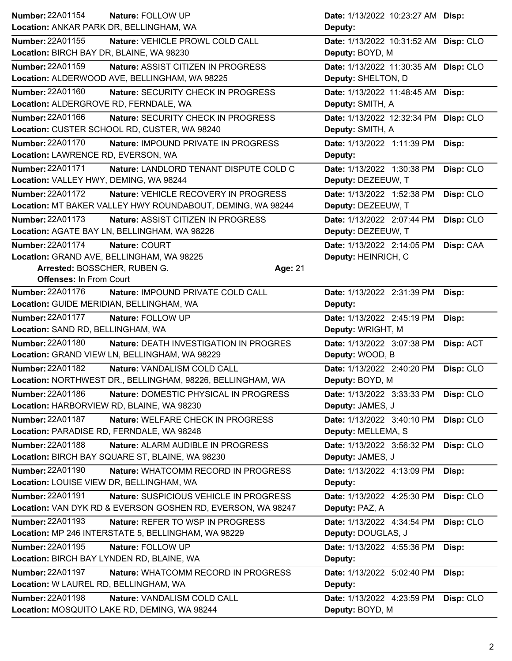| Number: 22A01154                          | Nature: FOLLOW UP                                           | Date: 1/13/2022 10:23:27 AM Disp:     |           |
|-------------------------------------------|-------------------------------------------------------------|---------------------------------------|-----------|
| Location: ANKAR PARK DR, BELLINGHAM, WA   |                                                             | Deputy:                               |           |
| <b>Number: 22A01155</b>                   | Nature: VEHICLE PROWL COLD CALL                             | Date: 1/13/2022 10:31:52 AM Disp: CLO |           |
| Location: BIRCH BAY DR, BLAINE, WA 98230  |                                                             | Deputy: BOYD, M                       |           |
| <b>Number: 22A01159</b>                   | Nature: ASSIST CITIZEN IN PROGRESS                          | Date: 1/13/2022 11:30:35 AM Disp: CLO |           |
|                                           | Location: ALDERWOOD AVE, BELLINGHAM, WA 98225               | Deputy: SHELTON, D                    |           |
| <b>Number: 22A01160</b>                   | Nature: SECURITY CHECK IN PROGRESS                          | Date: 1/13/2022 11:48:45 AM Disp:     |           |
| Location: ALDERGROVE RD, FERNDALE, WA     |                                                             | Deputy: SMITH, A                      |           |
| Number: 22A01166                          | Nature: SECURITY CHECK IN PROGRESS                          | Date: 1/13/2022 12:32:34 PM Disp: CLO |           |
|                                           | Location: CUSTER SCHOOL RD, CUSTER, WA 98240                | Deputy: SMITH, A                      |           |
| Number: 22A01170                          | Nature: IMPOUND PRIVATE IN PROGRESS                         | Date: 1/13/2022 1:11:39 PM            | Disp:     |
| Location: LAWRENCE RD, EVERSON, WA        |                                                             | Deputy:                               |           |
| Number: 22A01171                          | Nature: LANDLORD TENANT DISPUTE COLD C                      | Date: 1/13/2022 1:30:38 PM            | Disp: CLO |
| Location: VALLEY HWY, DEMING, WA 98244    |                                                             | Deputy: DEZEEUW, T                    |           |
| <b>Number: 22A01172</b>                   | Nature: VEHICLE RECOVERY IN PROGRESS                        | Date: 1/13/2022 1:52:38 PM            | Disp: CLO |
|                                           | Location: MT BAKER VALLEY HWY ROUNDABOUT, DEMING, WA 98244  | Deputy: DEZEEUW, T                    |           |
| <b>Number: 22A01173</b>                   | Nature: ASSIST CITIZEN IN PROGRESS                          | Date: 1/13/2022 2:07:44 PM            | Disp: CLO |
|                                           | Location: AGATE BAY LN, BELLINGHAM, WA 98226                | Deputy: DEZEEUW, T                    |           |
| Number: 22A01174                          | Nature: COURT                                               | Date: 1/13/2022 2:14:05 PM            | Disp: CAA |
| Location: GRAND AVE, BELLINGHAM, WA 98225 |                                                             | Deputy: HEINRICH, C                   |           |
| Arrested: BOSSCHER, RUBEN G.              | Age: 21                                                     |                                       |           |
| <b>Offenses: In From Court</b>            |                                                             |                                       |           |
| <b>Number: 22A01176</b>                   | Nature: IMPOUND PRIVATE COLD CALL                           | Date: 1/13/2022 2:31:39 PM            | Disp:     |
| Location: GUIDE MERIDIAN, BELLINGHAM, WA  |                                                             | Deputy:                               |           |
|                                           |                                                             |                                       |           |
| <b>Number: 22A01177</b>                   | Nature: FOLLOW UP                                           | Date: 1/13/2022 2:45:19 PM            | Disp:     |
| Location: SAND RD, BELLINGHAM, WA         |                                                             | Deputy: WRIGHT, M                     |           |
| Number: 22A01180                          | Nature: DEATH INVESTIGATION IN PROGRES                      | Date: 1/13/2022 3:07:38 PM            | Disp: ACT |
|                                           | Location: GRAND VIEW LN, BELLINGHAM, WA 98229               | Deputy: WOOD, B                       |           |
| <b>Number: 22A01182</b>                   | Nature: VANDALISM COLD CALL                                 | Date: 1/13/2022 2:40:20 PM            | Disp: CLO |
|                                           | Location: NORTHWEST DR., BELLINGHAM, 98226, BELLINGHAM, WA  | Deputy: BOYD, M                       |           |
| Number: 22A01186                          | Nature: DOMESTIC PHYSICAL IN PROGRESS                       | Date: 1/13/2022 3:33:33 PM            | Disp: CLO |
| Location: HARBORVIEW RD, BLAINE, WA 98230 |                                                             | Deputy: JAMES, J                      |           |
| <b>Number: 22A01187</b>                   | Nature: WELFARE CHECK IN PROGRESS                           | Date: 1/13/2022 3:40:10 PM            | Disp: CLO |
| Location: PARADISE RD, FERNDALE, WA 98248 |                                                             | Deputy: MELLEMA, S                    |           |
| <b>Number: 22A01188</b>                   | Nature: ALARM AUDIBLE IN PROGRESS                           | Date: 1/13/2022 3:56:32 PM            | Disp: CLO |
|                                           | Location: BIRCH BAY SQUARE ST, BLAINE, WA 98230             | Deputy: JAMES, J                      |           |
| Number: 22A01190                          | Nature: WHATCOMM RECORD IN PROGRESS                         | Date: 1/13/2022 4:13:09 PM            | Disp:     |
| Location: LOUISE VIEW DR, BELLINGHAM, WA  |                                                             | Deputy:                               |           |
| Number: 22A01191                          | Nature: SUSPICIOUS VEHICLE IN PROGRESS                      | Date: 1/13/2022 4:25:30 PM            | Disp: CLO |
|                                           | Location: VAN DYK RD & EVERSON GOSHEN RD, EVERSON, WA 98247 | Deputy: PAZ, A                        |           |
| Number: 22A01193                          | Nature: REFER TO WSP IN PROGRESS                            | Date: 1/13/2022 4:34:54 PM            | Disp: CLO |
|                                           | Location: MP 246 INTERSTATE 5, BELLINGHAM, WA 98229         | Deputy: DOUGLAS, J                    |           |
| Number: 22A01195                          | Nature: FOLLOW UP                                           | Date: 1/13/2022 4:55:36 PM            | Disp:     |
| Location: BIRCH BAY LYNDEN RD, BLAINE, WA |                                                             | Deputy:                               |           |
| <b>Number: 22A01197</b>                   | Nature: WHATCOMM RECORD IN PROGRESS                         | Date: 1/13/2022 5:02:40 PM            | Disp:     |
| Location: W LAUREL RD, BELLINGHAM, WA     |                                                             | Deputy:                               |           |
| Number: 22A01198                          | Nature: VANDALISM COLD CALL                                 | Date: 1/13/2022 4:23:59 PM            | Disp: CLO |
|                                           | Location: MOSQUITO LAKE RD, DEMING, WA 98244                | Deputy: BOYD, M                       |           |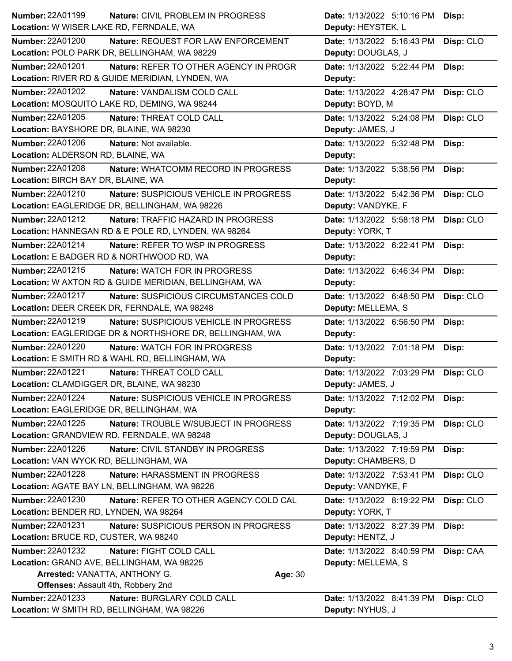| <b>Number: 22A01199</b><br><b>Nature: CIVIL PROBLEM IN PROGRESS</b> | Date: 1/13/2022 5:10:16 PM<br>Disp:     |  |
|---------------------------------------------------------------------|-----------------------------------------|--|
| Location: W WISER LAKE RD, FERNDALE, WA                             | Deputy: HEYSTEK, L                      |  |
| <b>Number: 22A01200</b><br>Nature: REQUEST FOR LAW ENFORCEMENT      | Disp: CLO<br>Date: 1/13/2022 5:16:43 PM |  |
| Location: POLO PARK DR, BELLINGHAM, WA 98229                        | Deputy: DOUGLAS, J                      |  |
| Number: 22A01201<br>Nature: REFER TO OTHER AGENCY IN PROGR          | Date: 1/13/2022 5:22:44 PM<br>Disp:     |  |
| Location: RIVER RD & GUIDE MERIDIAN, LYNDEN, WA                     | Deputy:                                 |  |
| <b>Number: 22A01202</b><br>Nature: VANDALISM COLD CALL              | Date: 1/13/2022 4:28:47 PM<br>Disp: CLO |  |
| Location: MOSQUITO LAKE RD, DEMING, WA 98244                        | Deputy: BOYD, M                         |  |
| Number: 22A01205<br>Nature: THREAT COLD CALL                        | Date: 1/13/2022 5:24:08 PM<br>Disp: CLO |  |
| Location: BAYSHORE DR, BLAINE, WA 98230                             | Deputy: JAMES, J                        |  |
| Number: 22A01206<br>Nature: Not available.                          | Date: 1/13/2022 5:32:48 PM<br>Disp:     |  |
| Location: ALDERSON RD, BLAINE, WA                                   | Deputy:                                 |  |
| Number: 22A01208<br>Nature: WHATCOMM RECORD IN PROGRESS             | Date: 1/13/2022 5:38:56 PM<br>Disp:     |  |
| Location: BIRCH BAY DR, BLAINE, WA                                  | Deputy:                                 |  |
| Number: 22A01210<br>Nature: SUSPICIOUS VEHICLE IN PROGRESS          | Date: 1/13/2022 5:42:36 PM<br>Disp: CLO |  |
| Location: EAGLERIDGE DR, BELLINGHAM, WA 98226                       | Deputy: VANDYKE, F                      |  |
| Number: 22A01212<br>Nature: TRAFFIC HAZARD IN PROGRESS              | Date: 1/13/2022 5:58:18 PM<br>Disp: CLO |  |
| Location: HANNEGAN RD & E POLE RD, LYNDEN, WA 98264                 | Deputy: YORK, T                         |  |
| Number: 22A01214<br>Nature: REFER TO WSP IN PROGRESS                | Date: 1/13/2022 6:22:41 PM<br>Disp:     |  |
| Location: E BADGER RD & NORTHWOOD RD, WA                            | Deputy:                                 |  |
| Number: 22A01215<br>Nature: WATCH FOR IN PROGRESS                   | Date: 1/13/2022 6:46:34 PM<br>Disp:     |  |
| Location: W AXTON RD & GUIDE MERIDIAN, BELLINGHAM, WA               | Deputy:                                 |  |
| Number: 22A01217<br>Nature: SUSPICIOUS CIRCUMSTANCES COLD           | Date: 1/13/2022 6:48:50 PM<br>Disp: CLO |  |
| Location: DEER CREEK DR, FERNDALE, WA 98248                         | Deputy: MELLEMA, S                      |  |
| Number: 22A01219<br>Nature: SUSPICIOUS VEHICLE IN PROGRESS          | Date: 1/13/2022 6:56:50 PM<br>Disp:     |  |
| Location: EAGLERIDGE DR & NORTHSHORE DR, BELLINGHAM, WA             | Deputy:                                 |  |
| <b>Number: 22A01220</b><br><b>Nature: WATCH FOR IN PROGRESS</b>     | Date: 1/13/2022 7:01:18 PM<br>Disp:     |  |
| Location: E SMITH RD & WAHL RD, BELLINGHAM, WA                      | Deputy:                                 |  |
| <b>Number: 22A01221</b><br>Nature: THREAT COLD CALL                 | Date: 1/13/2022 7:03:29 PM<br>Disp: CLO |  |
| Location: CLAMDIGGER DR, BLAINE, WA 98230                           | Deputy: JAMES, J                        |  |
| <b>Number: 22A01224</b><br>Nature: SUSPICIOUS VEHICLE IN PROGRESS   | Date: 1/13/2022 7:12:02 PM<br>Disp:     |  |
| Location: EAGLERIDGE DR, BELLINGHAM, WA                             | Deputy:                                 |  |
| Number: 22A01225<br>Nature: TROUBLE W/SUBJECT IN PROGRESS           | Date: 1/13/2022 7:19:35 PM<br>Disp: CLO |  |
| Location: GRANDVIEW RD, FERNDALE, WA 98248                          | Deputy: DOUGLAS, J                      |  |
| Number: 22A01226<br>Nature: CIVIL STANDBY IN PROGRESS               | Date: 1/13/2022 7:19:59 PM<br>Disp:     |  |
| Location: VAN WYCK RD, BELLINGHAM, WA                               | Deputy: CHAMBERS, D                     |  |
| Number: 22A01228<br>Nature: HARASSMENT IN PROGRESS                  | Date: 1/13/2022 7:53:41 PM<br>Disp: CLO |  |
| Location: AGATE BAY LN, BELLINGHAM, WA 98226                        | Deputy: VANDYKE, F                      |  |
| <b>Number: 22A01230</b><br>Nature: REFER TO OTHER AGENCY COLD CAL   | Date: 1/13/2022 8:19:22 PM<br>Disp: CLO |  |
| Location: BENDER RD, LYNDEN, WA 98264                               | Deputy: YORK, T                         |  |
| <b>Number: 22A01231</b><br>Nature: SUSPICIOUS PERSON IN PROGRESS    | Date: 1/13/2022 8:27:39 PM<br>Disp:     |  |
| Location: BRUCE RD, CUSTER, WA 98240                                | Deputy: HENTZ, J                        |  |
| <b>Number: 22A01232</b><br>Nature: FIGHT COLD CALL                  | Date: 1/13/2022 8:40:59 PM<br>Disp: CAA |  |
| Location: GRAND AVE, BELLINGHAM, WA 98225                           | Deputy: MELLEMA, S                      |  |
| Arrested: VANATTA, ANTHONY G.<br>Age: 30                            |                                         |  |
| Offenses: Assault 4th, Robbery 2nd                                  |                                         |  |
| Number: 22A01233<br>Nature: BURGLARY COLD CALL                      | Date: 1/13/2022 8:41:39 PM<br>Disp: CLO |  |
| Location: W SMITH RD, BELLINGHAM, WA 98226                          | Deputy: NYHUS, J                        |  |